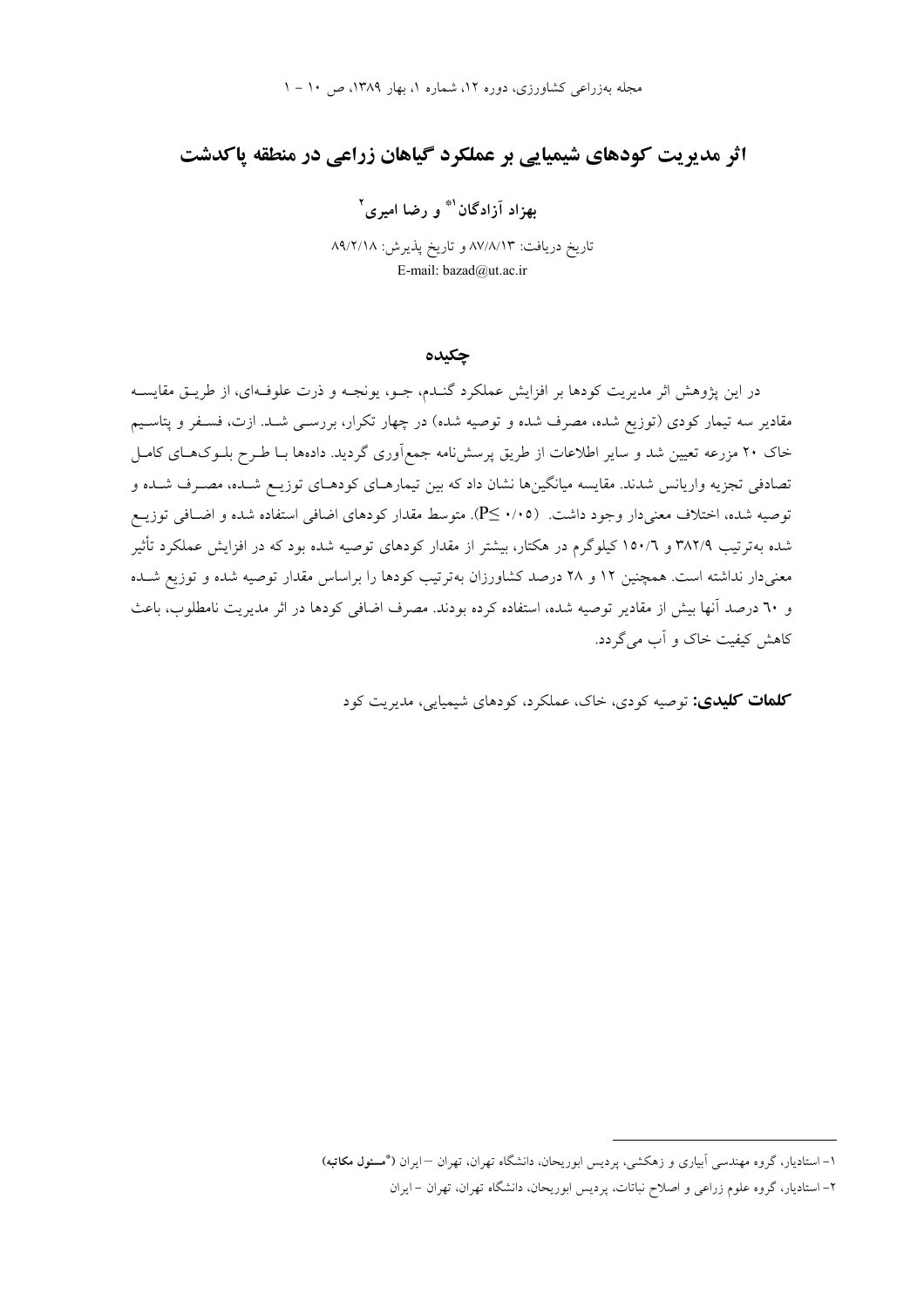# **اثر مدیریت کودهای شیمیایی بر عملکرد گیاهان زراعی در منطقه پاکدشت**

**بهزاد** آزادگان<sup>۱</sup>ٌ و رضا امیری<sup>۲</sup>

تاریخ دریافت: ۸۷/۸/۱۳ و تاریخ پذیرش: ۸۹/۲/۱۸ E-mail: bazad@ut.ac.ir

**چکنده** 

در این پژوهش اثر مدیریت کودها بر افزایش عملکرد گنـدم، جــو، یونجــه و ذرت علوفــهای، از طریــق مقایســه مقادیر سه تیمار کودی (توزیع شده، مصرف شده و توصیه شده) در چهار تکرار، بررسـی شــد. ازت، فســفر و پتاســیم خاک ۲۰ مزرعه تعیین شد و سایر اطلاعات از طریق پرسشنامه جمع|وری گردید. دادهها بـا طـرح بلــوکـهــای کامــل تصادفی تجزیه واریانس شدند. مقایسه میانگینها نشان داد که بین تیمارهـای کودهـای توزیــع شــده، مصــرف شــده و توصیه شده، اختلاف معنیدار وجود داشت. (۰/۰۵- PS). متوسط مقدار کودهای اضافی استفاده شده و اضــافی توزیــع شده بهترتیب ۳۸۲/۹ و ۱۵۰/۲ کیلوگرم در هکتار، بیشتر از مقدار کودهای توصیه شده بود که در افزایش عملکرد تاثیر معنیدار نداشته است. همچنین ۱۲ و ۲۸ درصد کشاورزان بهترتیب کودها را براساس مقدار توصیه شده و توزیع شــده و ٦٠ درصد انها بیش از مقادیر توصیه شده، استفاده کرده بودند. مصرف اضافی کودها در اثر مدیریت نامطلوب، باعث کاهش کیفیت خاک و اب میگردد.

کلمات کلیدی: توصیه کودی، خاک، عملکرد، کودهای شیمیایی، مدیریت کود

۱– استادیار، گروه مهندسی اَبیاری و زهکشی، پردیس ابوریحان، دانشگاه تهران، تهران —ایران (\*مسئ**ول مکاتبه**)

۲– استادیار، گروه علوم زراعی و اصلاح نباتات، پردیس ابوریحان، دانشگاه تهران، تهران – ایران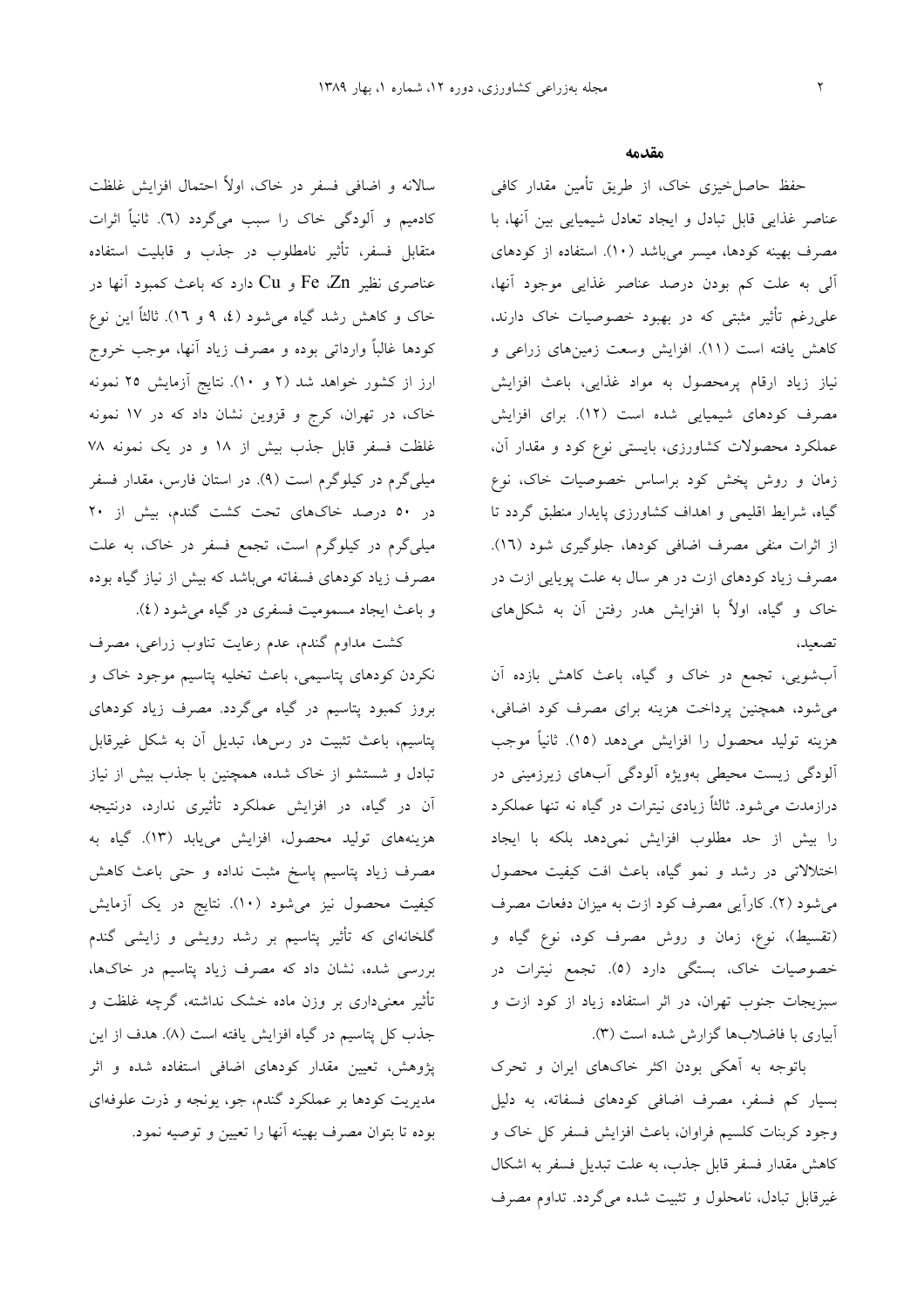سالانه و اضافی فسفر در خاک، اولا احتمال افزایش غلظت کادمیم و الودگی خاک را سبب میگردد (٦). ثانیا اثرات متقابل فسفر، تاثیر نامطلوب در جذب و قابلیت استفاده مناصری نظیر Fe ،Zn و Cu دارد که باعث کمبود آنها در خاک و کاهش رشد گیاه میشود (٤، ۹ و ١٦). ثالثا این نوع كودها غالبا وارداتى بوده و مصرف زياد انها، موجب خروج ارز از کشور خواهد شد (۲ و ۱۰). نتایج آزمایش ۲۵ نمونه خاک، در تهران، کرج و قزوین نشان داد که در ۱۷ نمونه غلظت فسفر قابل جذب بیش از ۱۸ و در یک نمونه ۷۸ میلی گرم در کیلوگرم است (۹). در استان فارس، مقدار فسفر در ۵۰ درصد خاکهای تحت کشت گندم، بیش از ۲۰ میلیگرم در کیلوگرم است، تجمع فسفر در خاک، به علت مصرف زیاد کودهای فسفاته میباشد که بیش از نیاز گیاه بوده و باعث ایجاد مسمومیت فسفری در گیاه میشود (٤).

كشت مداوم گندم، عدم رعايت تناوب زراعي، مصرف نکردن کودهای پتاسیمی، باعث تخلیه پتاسیم موجود خاک و بروز کمبود پتاسیم در گیاه میگردد. مصرف زیاد کودهای پتاسیم، باعث تثبیت در رس۵ا، تبدیل ان به شکل غیرقابل تبادل و شستشو از خاک شده، همچنین با جذب بیش از نیاز ان در گیاه، در افزایش عملکرد تاثیری ندارد، درنتیجه هزینههای تولید محصول، افزایش مییابد (۱۳). گیاه به مصرف زیاد پتاسیم پاسخ مثبت نداده و حتی باعث کاهش کیفیت محصول نیز میشود (۱۰). نتایج در یک ازمایش گلخانهای که تاثیر پتاسیم بر رشد رویشی و زایشی گندم بررسی شده، نشان داد که مصرف زیاد پتاسیم در خاکها، تاثیر معنیداری بر وزن ماده خشک نداشته، گرچه غلظت و جذب کل پتاسیم در گیاه افزایش یافته است (۸). هدف از این پژوهش، تعیین مقدار کودهای اضافی استفاده شده و اثر مدیریت کودها بر عملکرد گندم، جو، یونجه و ذرت علوفهای بوده تا بتوان مصرف بهينه انها را تعيين و توصيه نمود.

#### مقدمه

حفظ حاصل خیزی خاک، از طریق تأمین مقدار کافی عناصر غذایی قابل تبادل و ایجاد تعادل شیمیایی بین انها، با مصرف بهینه کودها، میسر میباشد (۱۰). استفاده از کودهای الی به علت کم بودن درصد عناصر غذایی موجود انها، علیرغم تاثیر مثبتی که در بهبود خصوصیات خاک دارند. كاهش يافته است (١١). افزايش وسعت زمينهاي زراعي و نیاز زیاد ارقام پرمحصول به مواد غذایی، باعث افزایش مصرف کودهای شیمیایی شده است (۱۲). برای افزایش عملکرد محصولات کشاورزی، بایستی نوع کود و مقدار ان. زمان و روش پخش کود براساس خصوصیات خاک، نوع گیاه، شرایط اقلیمی و اهداف کشاورزی پایدار منطبق گردد تا از اثرات منفی مصرف اضافی کودها، جلوگیری شود (١٦). مصرف زیاد کودهای ازت در هر سال به علت پویایی ازت در خاک و گیاه، اولاً با افزایش هدر رفتن ان به شکلهای تصعيد،

ابشویی، تجمع در خاک و گیاه، باعث کاهش بازده ان میشود، همچنین پرداخت هزینه برای مصرف کود اضافی، هزینه تولید محصول را افزایش میدهد (۱۵). ثانیآ موجب الودگی زیست محیطی بهویژه الودگی ابهای زیرزمینی در درازمدت م<sub>ی</sub>شود. ثالثاً زیادی نیترات در گیاه نه تنها عملکرد را بیش از حد مطلوب افزایش نمیدهد بلکه با ایجاد اختلالاتی در رشد و نمو گیاه، باعث افت کیفیت محصول میشود (۲). کارایی مصرف کود ازت به میزان دفعات مصرف (تقسیط)، نوع، زمان و روش مصرف کود، نوع گیاه و خصوصیات خاک، بستگی دارد (٥). تجمع نیترات در سبزیجات جنوب تهران، در اثر استفاده زیاد از کود ازت و ابیاری با فاضلابها گزارش شده است (۳).

باتوجه به اهکی بودن اکثر خاکهای ایران و تحرک بسیار کم فسفر، مصرف اضافی کودهای فسفاته، به دلیل وجود کربنات کلسیم فراوان، باعث افزایش فسفر کل خاک و کاهش مقدار فسفر قابل جذب، به علت تبدیل فسفر به اشکال غیرقابل تبادل، نامحلول و تثبیت شده میگردد. تداوم مصرف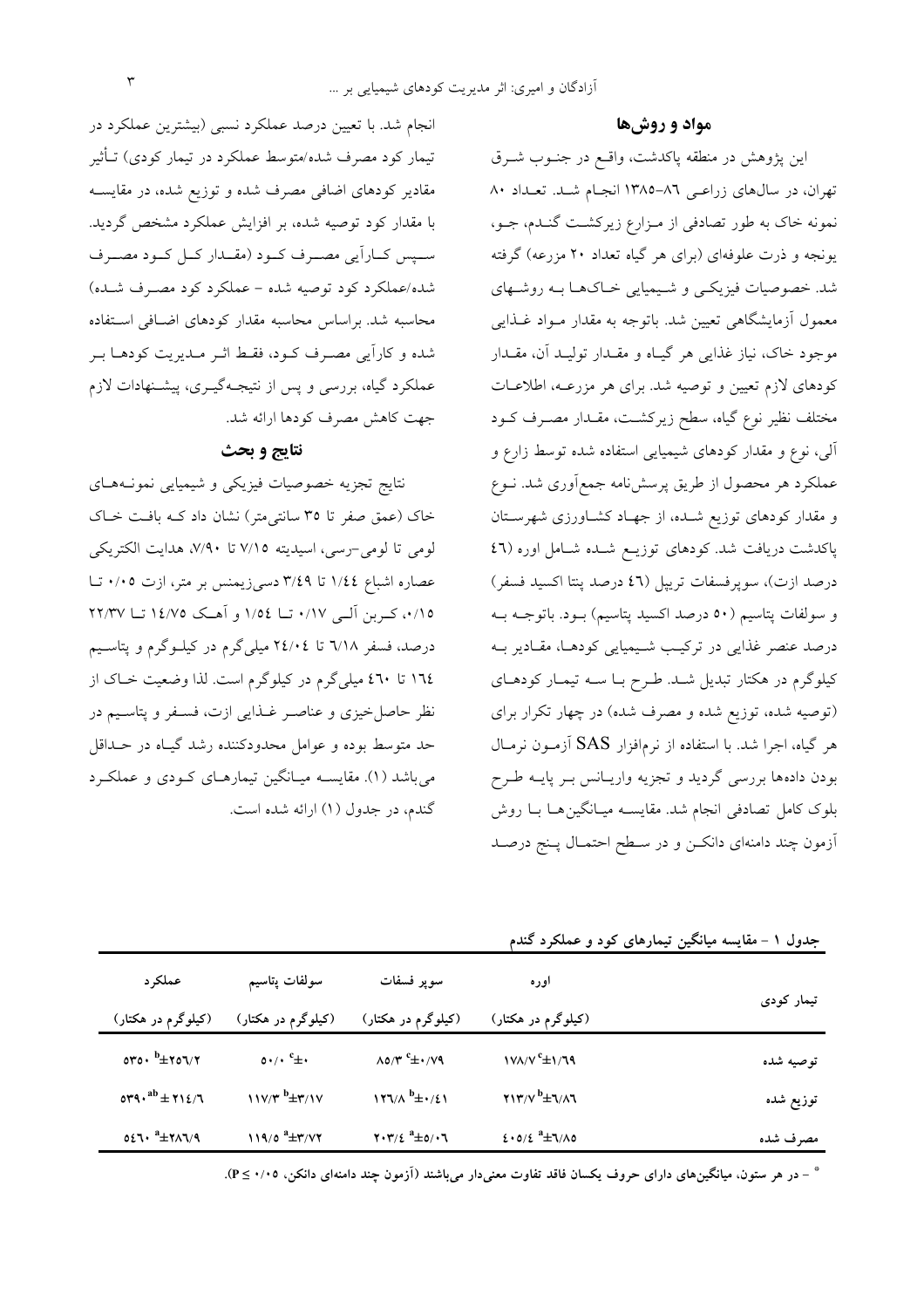#### **\$% %**

این پژوهش در منطقه پاکدشت، واقــع در جنــوب شـــرق تهران، در سالهای زراعـی ۸٦–۱۳۸۵ انجـام شــد. تعــداد ۸۰ نمونه خاک به طور تصادفی از مـزارع زیرکشـت گنــدم، جــو، یونجه و ذرت علوفهای (برای هر گیاه تعداد ۲۰ مزرعه) گرفته شد. خصوصیات فیزیکــی و شــیمیایی خــاکـهــا بــه روشــهای معمول ازمایشگاهی تعیین شد. باتوجه به مقدار مــواد غــذایی موجود خاک، نیاز غذایی هر گیــاه و مقــدار تولیــد ان، مقــدار کودهای لازم تعیین و توصیه شد. برای هر مزرعــه، اطلاعــات مختلف نظیر نوع گیاه، سطح زیرکشت، مقــدار مصــرف کــود الی، نوع و مقدار کودهای شیمیایی استفاده شده توسط زارع و عملکرد هر محصول از طریق پرسشiامه جمع|وری شد. نــوع و مقدار کودهای توزیع شــده، از جهــاد کشــاورزی شهرســتان پاکدشت دریافت شد. کودهای توزیـع شــده شــامل اوره (٤٦ درصد ازت)، سوپرفسفات تریپل (٤٦ درصد پنتا اکسید فسفر) و سولفات پتاسيم (٥٠ درصد اکسيد پتاسيم) بــود. باتوجـــه بــه درصد عنصر غذایی در ترکیب شـیمیایی کودهـا، مقـادیر بــه کیلوگرم در هکتار تبدیل شـد. طـرح بــا ســه تیمــار کودهــای (توصیه شده، توزیع شده و مصرف شده) در چهار تکرار برای هر گیاه، اجرا شد. با استفاده از نرم|فزار SAS آزمـون نرمـال بودن دادهها بررسی گردید و تجزیه واریـانس بـر پایــه طــرح بلوک کامل تصادفی انجام شد. مقایســه میــانگین۵هــا بــا روش ازمون چند دامنهای دانکــن و در ســطح احتمــال پــنج درصــد

تیمار کودی اوره **(0' - #&)** سوپر فسفات **(0' - #&)** سولفات پتاسیم **(0' - #&)** عملکر د **(0' - #&) 1/69 / 8 9 <sup>c</sup> 0/79 178/7 ± <sup>c</sup> 0 85/3 ± <sup>c</sup> 5350 50/0 ± <sup>b</sup> ±256/2 6/86 / 8 B+ <sup>b</sup> 0/41 213/7 ± <sup>b</sup> 3/17 126/8 ± <sup>b</sup> 214/6 117/3 ± ab 5390 ± 6/85 / 8 DE <sup>a</sup> 5/06 405/4 ± <sup>a</sup> 3/72 203/4 ± <sup>a</sup> 286/9 119/5 ± <sup>a</sup> 5460 ±**

جدول ۱ – مقایسه میانگین تیمارهای کود و عملکرد گندم

\* – در هر ستون. میانگینهای دارای حروف یکسان فاقد تفاوت معنیدار میباشند (آزمون چند دامنهای دانکن. ۰/۰۵ ≥ P).

انجام شد. با تعیین درصد عملکرد نسب<sub>ی</sub> (بیشترین عملکرد در تیمار کود مصرف شده/متوسط عملکرد در تیمار کودی) تــاثیر مقادیر کودهای اضافی مصرف شده و توزیع شده، در مقایســه با مقدار کود توصیه شده، بر افزایش عملکرد مشخص گردید. ســپس كــارايي مصـــرف كــود (مقــدار كــل كــود مصـــرف شده/عملکرد کود توصیه شده – عملکرد کود مصـرف شـده) محاسبه شد. براساس محاسبه مقدار کودهای اضـافی اسـتفاده شده و کارایی مصـرف کــود، فقــط اثــر مــدیریت کودهــا بــر عملکرد گیاه، بررسی و پس از نتیجـهگیــری، پیشــنهادات لازم جهت كاهش مصرف كودها ارائه شد.

## **&' % ( )\***

نتايج تجزيه خصوصيات فيزيكي و شيميايي نمونـههـاي خاک (عمق صفر تا ۳۵ سانتی¤ش) نشان داد کـه بافـت خــاک لومي تا لومي-رسي، اسيديته ٧/١٥ تا ٧/٩٠، هدايت الكتريكي عصاره اشباع ١/٤٤ تا ٣/٤٩ دس<sub>ما</sub>زيمنس بر متر، ازت ٠/٠٥ تــا ۰/۱۵، کـربن الـی ۰/۱۷ تــا ۱۵۶ و اهــک ۱٤/۷۵ تــا ۲۲/۳۷ درصد، فسفر ٦/١٨ تا ٢٤/٠٤ میلیگرم در کیلــوگرم و پتاســیم ۱٦٤ تا ٤٦٠ ميليگرم در کيلوگرم است. لذا وضعيت خــاک از نظر حاصلخیزی و عناصـر غــذایی ازت، فســفر و پتاســیم در حد متوسط بوده و عوامل محدودکننده رشد گیــاه در حــداقل میباشد (۱). مقایســه میــانگین تیمارهــای کــودی و عملکــرد گندم، در جدول (۱) ارائه شده است.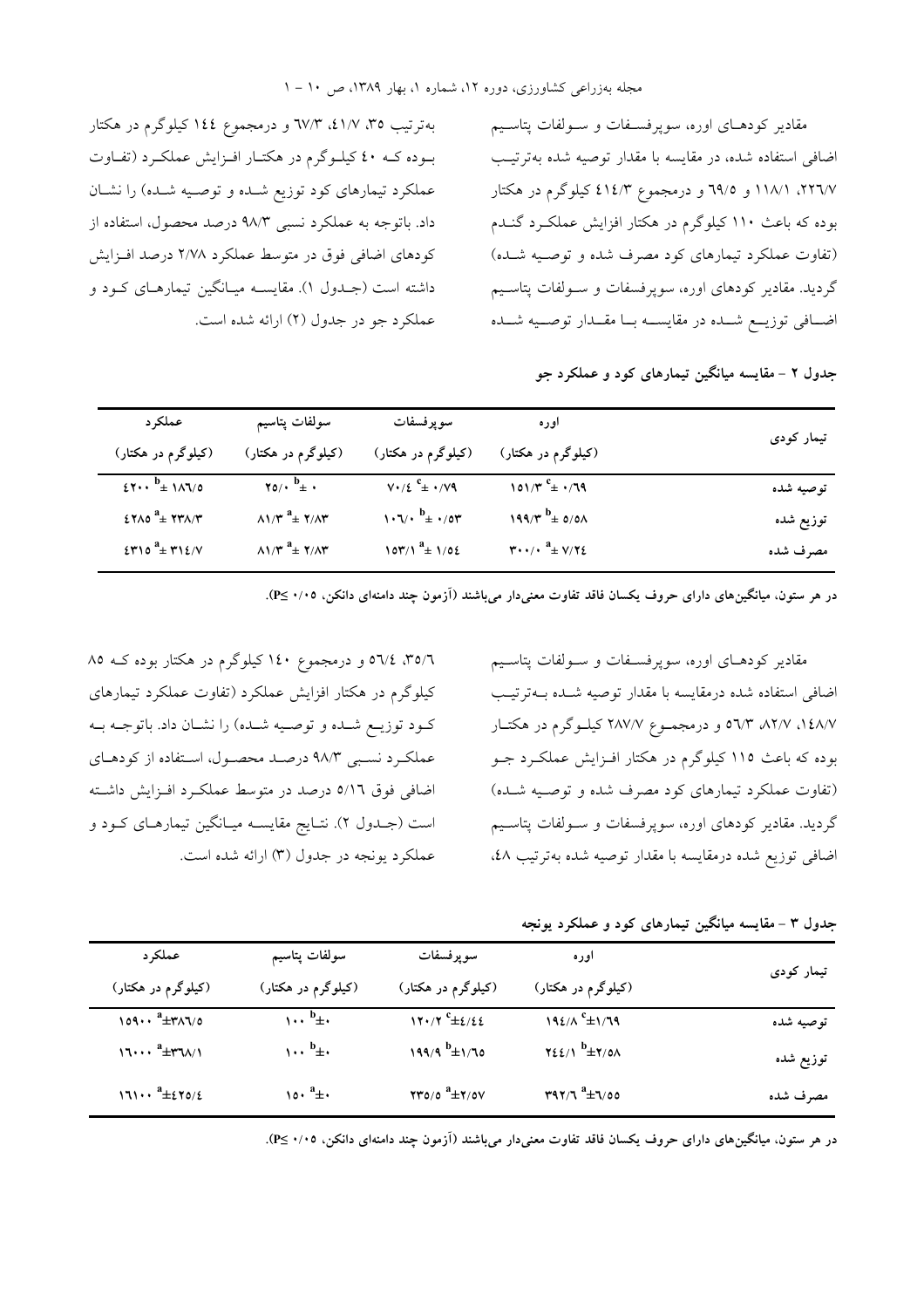بهترتیب ۳۵، ۶۱/۷٪ ۳/۳ و درمجموع ۱٤٤ کیلوگرم در هکتار بــوده کــه ٤٠ کيلــوگرم در هکتــار افــزايش عملکــرد (تفــاوت عملکرد تیمارهای کود توزیع شــده و توصــیه شــده) را نشــان داد. باتوجه به عملکرد نسبی ۹۸/۳ درصد محصول، استفاده از کودهای اضافی فوق در متوسط عملکرد ۲/۷۸ درصد افــزایش داشته است (جــدول ۱). مقایســه میــانگین تیمارهــای کــود و عملکرد جو در جدول (۲) ارائه شده است. مقادیر کودهــای اوره، سوپرفســفات و ســولفات پتاســیم اضافی استفاده شده، در مقایسه با مقدار توصیه شده بهترتیب ۲۲٦/۷، ۱۱۸/۱ و ۳۹/۵ و درمجموع ٤١٤/٣ کیلوگرم در هکتار بوده که باعث ۱۱۰ کیلوگرم در هکتار افزایش عملکـرد گنــدم (تفاوت عملکرد تیمارهای کود مصرف شده و توصـیه شــده) گردید. مقادیر کودهای اوره، سوپرفسفات و ســولفات پتاســیم اضــافـی توزیـــع شـــده در مقایســــه بـــا مقـــدار توصـــیه شـــده

جدول ۲ – مقایسه میانگین تیمارهای کود و عملکرد جو

| عملکر د                                            | سولفات پتاسیم                                                  | سوپرفسفات                                                                                        | اور ہ                                                               | تیمار کودی |
|----------------------------------------------------|----------------------------------------------------------------|--------------------------------------------------------------------------------------------------|---------------------------------------------------------------------|------------|
| (کیلوگرم در هکتار)                                 | (کیلوگرم در هکتار)                                             | (کیلوگرم در هکتار)                                                                               | (کیلوگرم در هکتار)                                                  |            |
| $27 \cdot \cdot \frac{b_{\pm}}{2} 111/0$           | $\gamma_0/\cdot \frac{b}{\pm}$ .                               | $V \cdot / \xi$ <sup>c</sup> $\pm$ $\cdot$ / $V \cdot$                                           | 101/۳ $^c$ ± $\cdot$ /79                                            | توصيه شده  |
| $27\lambda 0$ $4\pm 77\lambda/\tau$                | $\Lambda$ $\Lambda^*$ <sup>a</sup> $\pm$ $\Lambda$ $\Lambda^*$ | $\mathcal{N} \cdot \mathcal{N} \cdot \mathcal{P}^{\mathbf{b}} \pm \mathcal{N} \cdot \mathcal{P}$ | $199/7^{b}$ = 0/01                                                  | توزيع شده  |
| $\S$ $\uparrow$ 10 $a_{\pm}$ $\uparrow$ 12/ $\vee$ | $\Lambda$ $\Lambda^*$ <sup>a</sup> $\pm$ $\Lambda$ $\Lambda^*$ | $\sqrt{27/3}$ $^a$ $\pm$ $\sqrt{22}$                                                             | $\mathbf{r} \cdot \cdot / \cdot \mathbf{a}_{\pm} \vee / \mathbf{r}$ | مصرف شده   |

در هر ستون، میانگین&ای دارای حروف یکسان فاقد تفاوت معنیدار میباشند (آزمون چند دامنهای دانکن، ۰/۰۹≥P).

مقادیر کودهــای اوره، سوپرفســفات و ســولفات پتاســیم اضافی استفاده شده درمقایسه با مقدار توصیه شــده بــهترتیــب ۱٤٨/۷، ۵٦/۳ ۵٦/۳ و درمجمـوع ۲۸۷/۷ کیلـوگرم در هکتـار بوده که باعث ۱۱۵ کیلوگرم در هکتار افــزایش عملکــرد جــو (تفاوت عملکرد تیمارهای کود مصرف شده و توصـیه شــده) گردید. مقادیر کودهای اوره، سوپرفسفات و ســولفات پتاســیم اضافی توزیع شده درمقایسه با مقدار توصیه شده بهترتیب ٤٨،

۳۵/٦، ٥٦/٤ و درمجموع ١٤٠ کیلوگرم در هکتار بوده کــه ٨٥ کیلوگرم در هکتار افزایش عملکرد (تفاوت عملکرد تیمارهای كـود توزيـع شــده و توصــيه شــده) را نشــان داد. باتوجــه بــه عملکرد نسـبي ۹۸/۳ درصـد محصـول، اسـتفاده از کودهـاي اضافی فوق ٥/١٦ درصد در متوسط عملکــرد افــزايش داشــته است (جــدول ۲). نتــايج مقايســه ميــانگين تيمارهــاى كــود و عملکرد یونجه در جدول (۳) ارائه شده است.

جدول ۳ – مقایسه میانگین تیمارهای کود و عملکرد یونجه

| عملکر د                                                          | سولفات پتاسيم                              | سوپرفسفات                        | اوره                                  | تیمار کودی |
|------------------------------------------------------------------|--------------------------------------------|----------------------------------|---------------------------------------|------------|
| (کیلوگرم در هکتار)                                               | (کیلوگرم در هکتار)                         | (کیلوگرم در هکتار)               | (کیلوگرم در هکتار)                    |            |
| $\cos \cdot \frac{a_{\pm} + a_{\lambda}}{a_{\pm} + a_{\lambda}}$ | $\cdots$ <sup>b</sup> $\pm$                | $17.7$ <sup>c</sup> $\pm 2.22$   | $192/\Lambda$ <sup>c</sup> $\pm 1/79$ | توصيه شده  |
| $17$ <sup>a</sup> $\pm$ ۳٦٨/1                                    | $\cdots$ <sup>b</sup> $\pm$                | ۱۹۹/۹ <sup>b</sup> ±۱/٦٥         | $YZE/\Lambda$ <sup>b</sup> $\pm$ 7/01 | توزيع شده  |
| $171 \cdots \stackrel{a}{\pm} 270/2$                             | $\lambda \circ \cdot \overset{a}{+} \cdot$ | $\tau\tau$ 0/0 $a$ $\pm\tau$ /0V | $r47/7$ <sup>a</sup> $\pm 7/00$       | مصرف شده   |

در هر ستون، میانگین&ای دارای حروف یکسان فاقد تفاوت معنیدار میباشند (آزمون چند دامنهای دانکن، ۰/۰۹≥P).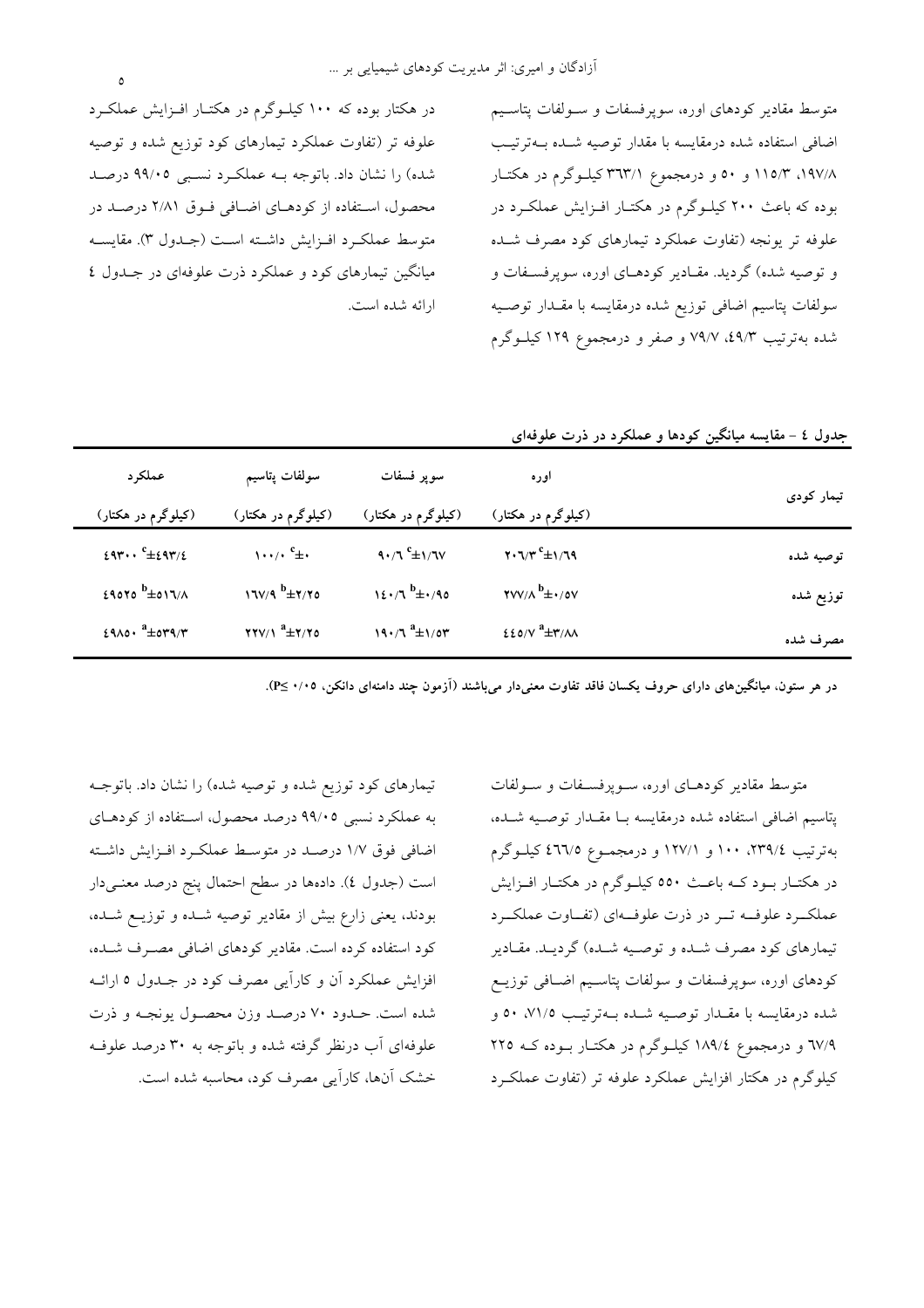در هکتار بوده که ۱۰۰ کیلوگرم در هکتـار افـزایش عملکـرد علوفه تر (تفاوت عملکرد تیمارهای کود توزیع شده و توصیه شده) را نشان داد. باتوجه بـه عملكـرد نسـبي ۹۹/۰۵ درصـد محصول، استفاده از كودهاي اضافي فوق ٢/٨١ درصد در متوسط عملكرد افـزايش داشـته اسـت (جـدول ٣). مقايسـه میانگین تیمارهای کود و عملکرد ذرت علوفهای در جـدول ٤ ارائه شده است.

متوسط مقادیر کودهای اوره، سوپرفسفات و سولفات پتاسیم اضافی استفاده شده درمقایسه با مقدار توصیه شـده بـهترتیـب ۱۹۷/۸، ۱۱۵/۳ و ۵۰ و درمجموع ۳۹۳/۱ کیلوگرم در هکتار بوده که باعث ۲۰۰ کیلوگرم در هکتـار افـزایش عملکـرد در علوفه تر یونجه (تفاوت عملکرد تیمارهای کود مصرف شـده و توصیه شده) گردید. مقـادیر کودهـای اوره، سوپرفسـفات و سولفات پتاسیم اضافی توزیع شده درمقایسه با مقـدار توصـیه شده بهترتیب ۵۹/۳، ۷۹/۷ و صفر و درمجموع ۱۲۹ کیلــوگرم

| جدول ٤ – مقایسه میانگین کودها و عملکرد در ذرت علوفهای |                                                                          |                                |                                                                                       |                                             |
|-------------------------------------------------------|--------------------------------------------------------------------------|--------------------------------|---------------------------------------------------------------------------------------|---------------------------------------------|
|                                                       | اوره                                                                     | سوپر فسفات                     | سولفات پتاسيم                                                                         | عملکر د                                     |
| تیمار کودی                                            | (کیلوگرم در هکتار)                                                       | (کیلوگرم در هکتار)             | (کیلوگرم در هکتار)                                                                    | (کیلوگرم در هکتار)                          |
| توصيه شده                                             | $\mathbf{Y} \cdot \mathbf{U} / \mathbf{r}^c \pm \mathbf{V} / \mathbf{U}$ | $9.7^{\circ}$ $\pm 1/7$ $\vee$ | $\cdots$ , $c_{\pm}$                                                                  | $29r \cdots$ <sup>c</sup> $\pm 29r/2$       |
| توزيع شده                                             | $\mathsf{YVV}/\Lambda^b \pm \cdot / \mathsf{OV}$                         | $12.7^{b} \pm .090$            | $17V/9$ $^{b}$ $\pm 7/70$                                                             | $29070$ $b \pm 017/A$                       |
| مصرف شده                                              | $220/V$ <sup>a</sup> $\pm$ ۳/۸۸                                          | $19.7^a \pm 1/04^b$            | $\mathbf{Y}\mathbf{Y}\mathbf{Y}/\mathbf{Y}$ <sup>a</sup> $\pm\mathbf{Y}/\mathbf{Y}$ o | $29\lambda 0 \cdot \frac{a_{\pm}}{b_{\pm}}$ |
|                                                       |                                                                          |                                |                                                                                       |                                             |

در هر ستون، میانگینهای دارای حروف یکسان فاقد تفاوت معنیدار میباشند (آزمون چند دامنهای دانکن، ۰/۰۰≤P).

تیمارهای کود توزیع شده و توصیه شده) را نشان داد. باتوجـه به عملکرد نسبی ۹۹/۰۵ درصد محصول، استفاده از کودهـای اضافی فوق ۱/۷ درصـد در متوسـط عملکـرد افـزايش داشـته است (جدول ٤). دادهها در سطح احتمال پنج درصد معنـيدار بودند، یعنی زارع بیش از مقادیر توصیه شـده و توزیـع شـده، کود استفاده کرده است. مقادیر کودهای اضافی مصـرف شـده، افزایش عملکرد آن و کارآیی مصرف کود در جـدول ٥ ارائــه شده است. حــدود ۷۰ درصــد وزن محصــول یونجــه و ذرت علوفهای آب درنظر گرفته شده و باتوجه به ۳۰ درصد علوف خشک آنها، کارآیی مصرف کود، محاسبه شده است.

متوسط مقادیر کودهـای اوره، سـوپرفسـفات و سـولفات پتاسیم اضافی استفاده شده درمقایسه بـا مقـدار توصـیه شـده، بهترتیب ٢٣٩/٤، ١٠٠ و ١٢٧/١ و درمجمـوع ٤٦٦/٥ کیلـوگرم در هکتـار بــود کــه باعــث ٥٥٠ کيلــوگرم در هکتــار افــزايش عملک رد علوف ت تر در ذرت علوف ای (تفاوت عملک رد .<br>تیمارهای کود مصرف شـده و توصـیه شـده) گردیـد. مقـادیر کودهای اوره، سوپرفسفات و سولفات پتاسـیم اضـافی توزیــع شده درمقايسه با مقـدار توصـيه شـده بــهترتيـب ٧١/٥. ٥٠ و ۳۷/۹ و درمجموع ۱۸۹/٤ کیلوگرم در هکتـار بـوده کـه ۲۲۵ کیلوگرم در هکتار افزایش عملکرد علوفه تر (تفاوت عملک رد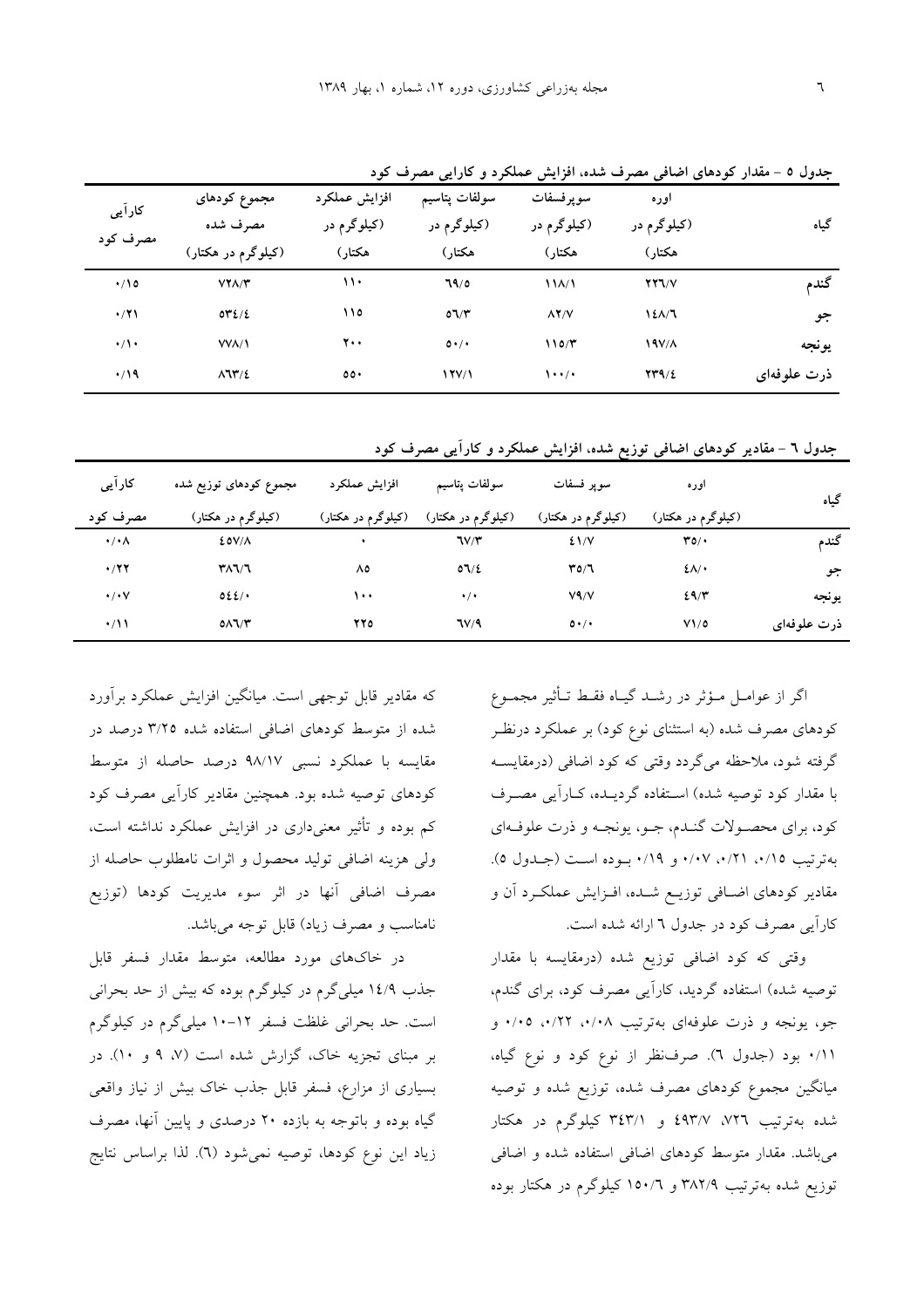|             | ັ                                             | - - -           | --                |                     |                                     |               |
|-------------|-----------------------------------------------|-----------------|-------------------|---------------------|-------------------------------------|---------------|
|             | اوره                                          | سوپرفسفات       | سولفات پتاسیم     | افزايش عملكرد       | مجموع کودهای                        | کارآیی        |
| گیاه        | (کیلوگرم در                                   | (کیلوگرم در     | (کیلوگرم در       | (کیلوگرم در         | مصرف شده                            |               |
|             | هكتار)                                        | هكتار)          | هكتار)            | هكتار)              | (کیلوگرم در هکتار)                  | مصرف کود      |
| گندم        | $YY$ $V$                                      | 11 <sub>A</sub> | 79/0              | ۱۱۰                 | $VY\Lambda/Y$                       | $\cdot/10$    |
| جو          | 121/7                                         | $\lambda$ Y/V   | O(Y)              | ۱۱٥                 | $OY\Sigma/E$                        | $\cdot$ /۲۱   |
| يونجه       | 19V/A                                         | 110/T           | $0 \cdot / \cdot$ | 7.,                 | <b>VVA/1</b>                        | $\cdot/\cdot$ |
| ذرت علوفهای | $\mathbf{Y} \mathbf{Y} \mathbf{A}/\mathbf{Z}$ | $\cdots$        | 17V/1             | $\circ \circ \cdot$ | $\lambda$ $\mathcal{N}/\mathcal{E}$ | $\cdot$ /19   |

جدول ٥ - مقدار كودهاي اضافي مصرف شده، افزايش عملكرد و كارايي مصرف كود

جدول ٦ - مقادیر کودهای اضافی توزیع شده، افزایش عملکرد و کارآیی مصرف کود

| کارآیی               | مجموع کودهای توزیع شده | افزايش عملكرد      | سولفات پتاسیم      | سوپر فسفات         | اوره               | گیاه        |
|----------------------|------------------------|--------------------|--------------------|--------------------|--------------------|-------------|
| مصرف کود             | (کیلوگرم در هکتار)     | (کیلوگرم در هکتار) | (کیلوگرم در هکتار) | (کیلوگرم در هکتار) | (کیلوگرم در هکتار) |             |
| $\cdot/\cdot \wedge$ | EOV/A                  |                    | 7V/T               | 21/V               | $\mathbf{r}$       | گندم        |
| $\cdot$ /۲۲          | ۳۸٦/٦                  | ٨٥                 | 07/2               | T0/7               | $2\lambda$         | جو          |
| $\cdot$ / $\cdot$    | 022/                   | ۱۰۰                | $\cdot/\cdot$      | V <sub>4</sub> /V  | 29/5               | يونجه       |
| $\cdot/11$           | $0\Lambda$ l $/$ ۳     | 770                | 7V/9               | $0 \cdot / \cdot$  | V1/0               | ذرت علوفهای |

اگر از عوامـل مـؤثر در رشــد گیــاه فقـط تــأثیر مجمــوع کودهای مصرف شده (به استثنای نوع کود) بر عملکرد درنظـر گرفته شود، ملاحظه میگردد وقتی که کود اضافی (درمقایسـه با مقدار کود توصیه شده) استفاده گردیـده، کـاراَیی مصـرف كود، براي محصـولات گنـدم، جـو، يونجـه و ذرت علوفـهاي بهترتيب ٠/١٥، ٢١/٠، ٠/١٧، و ٠/١٩. بـوده است (جـدول ٥). مقادیر کودهای اضـافی توزیــع شــده، افــزایش عملکـرد آن و كاراًيي مصرف كود در جدول ٦ ارائه شده است.

وقتی که کود اضافی توزیع شده (درمقایسه با مقدار توصیه شده) استفاده گردید، کاراًیی مصرف کود، برای گندم، جو، یونجه و ذرت علوفهای بهترتیب ۰/۰۸، ۰/۲۲، ۰/۰۵ و ۰/۱۱ بود (جدول ٦). صرفنظر از نوع کود و نوع گیاه، میانگین مجموع کودهای مصرف شده، توزیع شده و توصیه شده بهترتیب ۷۲٦، ۶۹۳/۷، و ۳٤٣/۱ کیلوگرم در هکتار می باشد. مقدار متوسط کودهای اضافی استفاده شده و اضافی توزیع شده بهترتیب ۳۸۲/۹ و ۱۵۰/۲ کیلوگرم در هکتار بوده

که مقادیر قابل توجهی است. میانگین افزایش عملکرد برآورد شده از متوسط کودهای اضافی استفاده شده ۳/۲۵ درصد در مقايسه با عملكرد نسبى ٩٨/١٧ درصد حاصله از متوسط کودهای توصیه شده بود. همچنین مقادیر کارآیی مصرف کود کم بوده و تأثیر معنیداری در افزایش عملکرد نداشته است، ولي هزينه اضافي توليد محصول و اثرات نامطلوب حاصله از مصرف اضافی آنها در اثر سوء مدیریت کودها (توزیع نامناسب و مصرف زياد) قابل توجه مي باشد.

در خاکهای مورد مطالعه، متوسط مقدار فسفر قابل جذب ۱٤/۹ میلیگرم در کیلوگرم بوده که بیش از حد بحرانی است. حد بحرانی غلظت فسفر ۱۲-۱۰ میلی گرم در کیلوگرم بر مبنای تجزیه خاک، گزارش شده است (۷، ۹ و ۱۰). در بسیاری از مزارع، فسفر قابل جذب خاک بیش از نیاز واقعی گیاه بوده و باتوجه به بازده ۲۰ درصدی و پایین آنها، مصرف زياد اين نوع كودها، توصيه نمي شود (٦). لذا براساس نتايج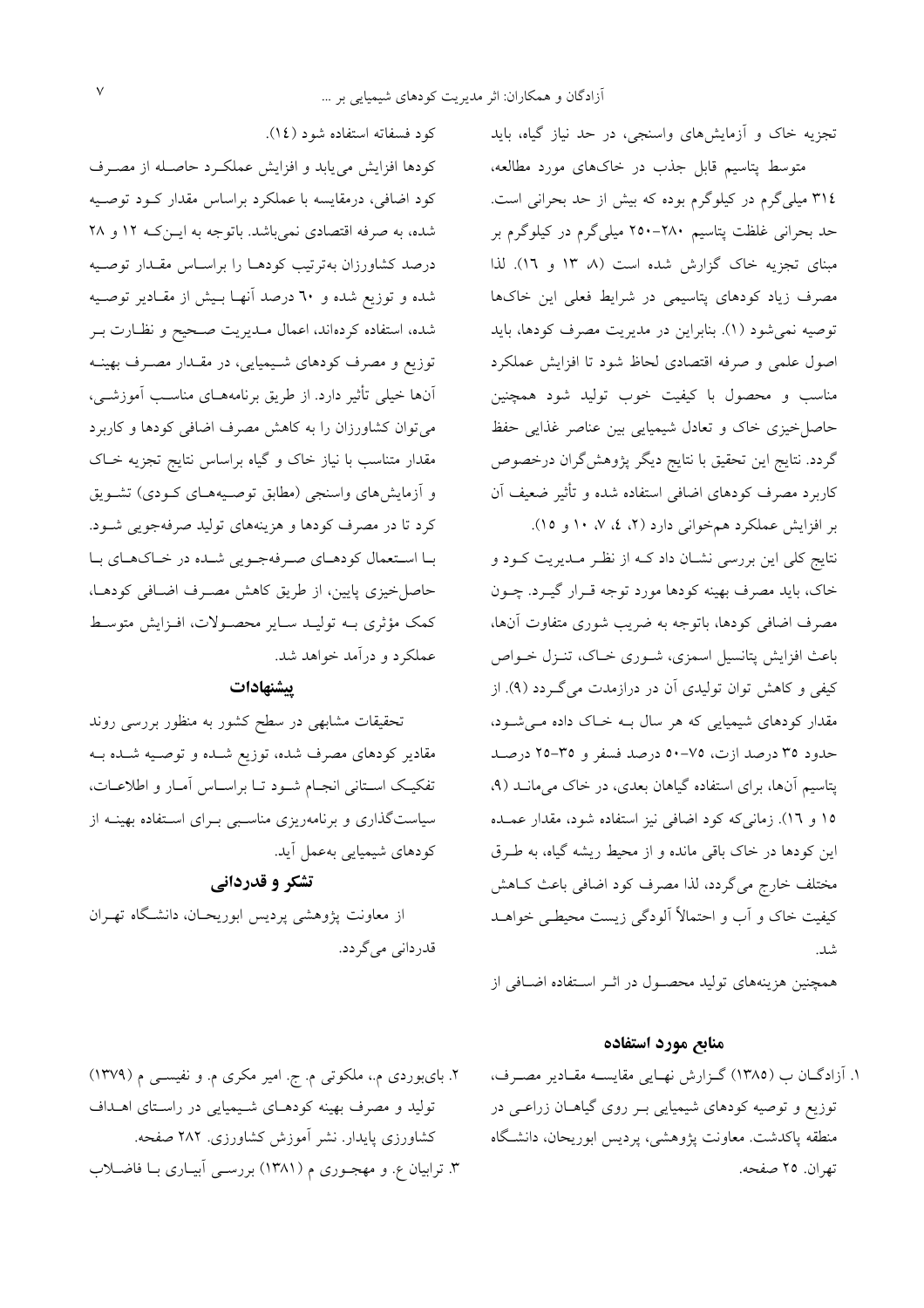تجزیه خاک و آزمایشهای واسنجی، در حد نیاز گیاه، باید متوسط پتاسیم قابل جذب در خاکهای مورد مطالعه، ٣١٤ ميلي گرم در كيلوگرم بوده كه بيش از حد بحراني است. حد بحرانی غلظت پتاسیم ۲۸۰–۲۵۰ میلی گرم در کیلوگرم بر مبنای تجزیه خاک گزارش شده است (۸ ۱۳ و ۱۲). لذا مصرف زیاد کودهای پتاسیمی در شرایط فعلی این خاکها توصیه نمیشود (۱). بنابراین در مدیریت مصرف کودها، باید اصول علمی و صرفه اقتصادی لحاظ شود تا افزایش عملکرد مناسب و محصول با کیفیت خوب تولید شود همچنین حاصل خیزی خاک و تعادل شیمیایی بین عناصر غذایی حفظ گردد. نتایج این تحقیق با نتایج دیگر پژوهشگران درخصوص کاربرد مصرف کودهای اضافی استفاده شده و تأثیر ضعیف آن بر افزایش عملکرد همخوانی دارد (۲، ٤، ۷، ۱۰ و ۱۵).

.<br>نتایج کلی این بررسی نشـان داد کــه از نظـر مــدیریت کــود و خاک، باید مصرف بهینه کودها مورد توجه قـرار گیـرد. چــون مصرف اضافی کودها، باتوجه به ضریب شوری متفاوت آنها، باعث افزایش پتانسیل اسمزی، شـوری خـاک، تنـزل خـواص کیفی و کاهش توان تولیدی آن در درازمدت می گردد (۹). از مقدار کودهای شیمیایی که هر سال بـه خـاک داده مـی شـود، حدود ٣٥ درصد ازت، ٧٥-٥٠ درصد فسفر و ٣٥-٢٥ درصد پتاسیم آنها، برای استفاده گیاهان بعدی، در خاک می مانـد (۹، ١٥ و ١٦). زماني كه كود اضافي نيز استفاده شود، مقدار عمـده این کودها در خاک باقی مانده و از محیط ریشه گیاه، به طـرق مختلف خارج می گردد، لذا مصرف کود اضافی باعث کـاهش کیفیت خاک و آب و احتمالاً آلودگی زیست محیطے خواہـد شىد.<br>.

همچنین هزینههای تولید محصـول در اثـر اسـتفاده اضـافی از

### منابع مورد استفاده

١. آزادگان ب (١٣٨٥) گزارش نهايي مقايسـه مقـادير مصـرف، توزیع و توصیه کودهای شیمیایی بـر روی گیاهـان زراعـی در منطقه پاکدشت معاونت پژوهشی، پردیس ابوریحان، دانشگاه تھ ان. ٢٥ صفحه.

كود فسفاته استفاده شود (١٤).

كودها افزايش مى يابد و افزايش عملكرد حاصله از مصرف کود اضافی، درمقایسه با عملکرد براساس مقدار کـود توصـیه شده، به صرفه اقتصادی نمیباشد. باتوجه به ایــن کــه ۱۲ و ۲۸ درصد كشاورزان بهترتيب كودهـا را براسـاس مقـدار توصـيه شده و توزیع شده و ۲۰ درصد آنهـا بـیش از مقـادیر توصـیه شده، استفاده کردهاند، اعمال مـديريت صـحيح و نظـارت بـر توزیع و مصرف کودهای شیمیایی، در مقدار مصـرف بهینـه آنها خیلی تأثیر دارد. از طریق برنامههـای مناسـب آموزشــی، می توان کشاورزان را به کاهش مصرف اضافی کودها و کاربرد مقدار متناسب با نیاز خاک و گیاه براساس نتایج تجزیه خـاک و أزمايش هاى واسنجى (مطابق توصيههـاى كــودى) تشــويق کرد تا در مصرف کودها و هزینههای تولید صرفهجویی شـود. با استعمال کودهـاي صـرفهجـويي شـده در خـاکهـاي بـا حاصل خیزی پایین، از طریق کاهش مصـرف اضـافی کودهـا، کمک مؤثری بــه تولیــد ســایر محصــولات، افــزایش متوسـط عملکرد و درآمد خواهد شد.

#### يبشنهادات

تحقیقات مشابهی در سطح کشور به منظور بررسی روند مقادیر کودهای مصرف شده، توزیع شـده و توصـیه شـده بـه تفکیک استانی انجام شـود تـا براسـاس أمـار و اطلاعـات، سیاستگذاری و برنامهریزی مناسبی بـرای اسـتفاده بهینــه از كودهاي شيميايي بهعمل أيد.

### تشکر و قدردانی

از معاونت پژوهشی پردیس ابوریحـان، دانشـگاه تهـران قدردانی می گردد.

٢. بایبوردی م.، ملکوتی م. ج. امیر مکری م. و نفیسـی م (١٣٧٩) تولید و مصرف بهینه کودهـای شـیمیایی در راسـتای اهـداف کشاورزی پایدار. نشر آموزش کشاورزی. ۲۸۲ صفحه. ۳. ترابیان ع. و مهجـوری م (۱۳۸۱) بررسـی آبیـاری بـا فاضـلاب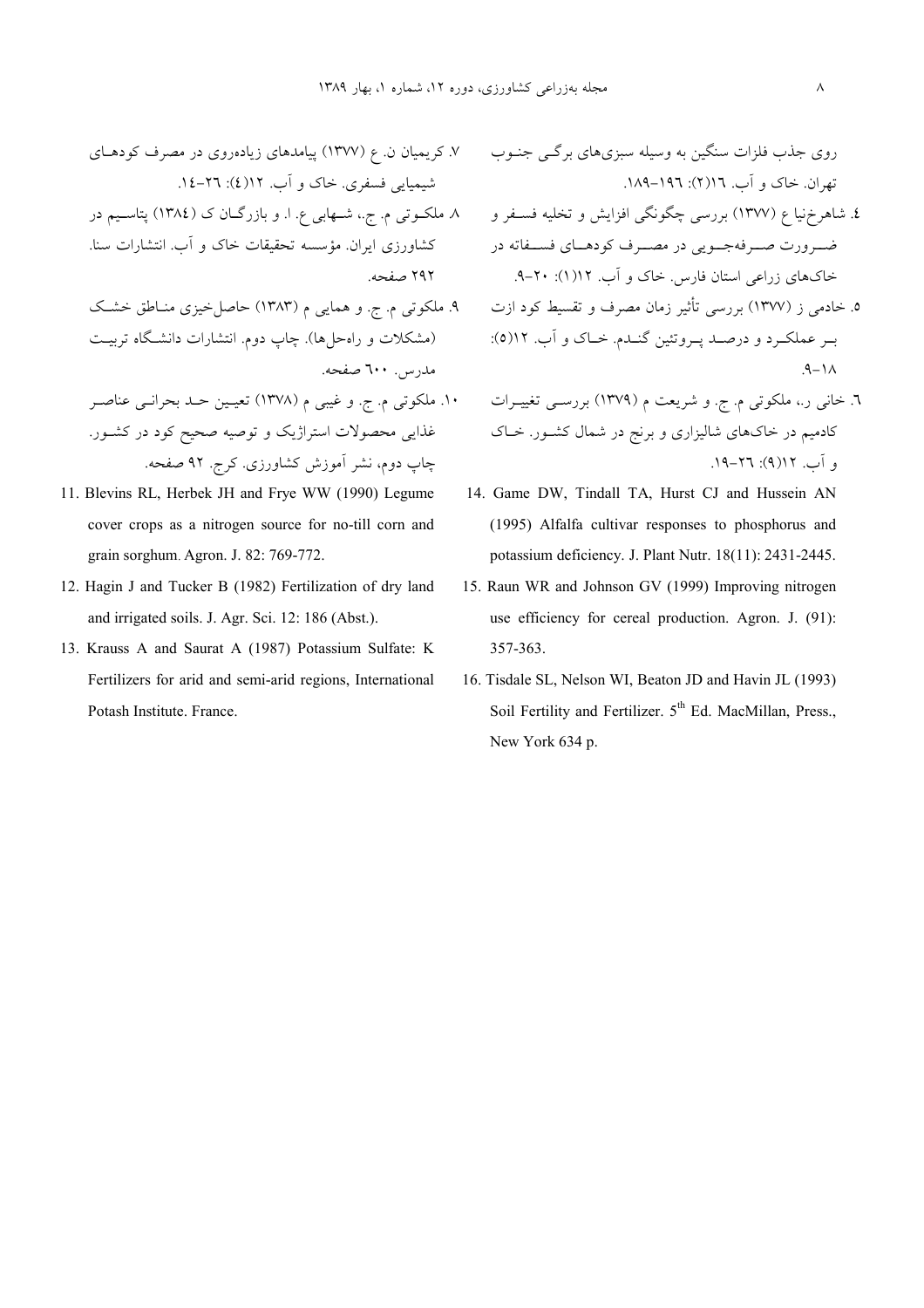- ۷. کریمیان ن. ع (۱۳۷۷) پیامدهای زیادهروی در مصرف کودهــای شیمیایی فسفری. خاک و آب. ۱۲(٤): ۲٦-۱٤.
- کشاورزی ایران. مؤسسه تحقیقات خاک و اَب. انتشارات سنا.  $2.662$
- ۹. ملکوتی م. ج. و همایی م (۱۳۸۳) حاصل-خیزی منـاطق خشـک (مشکلات و راهحلها). چاپ دوم. انتشارات دانشـگاه تربیــت مدرس. ٦٠٠ صفحه.
- غذایی محصولات استراژیک و توصیه صحیح کود در کشــور. چاپ دوم، نشر اموزش کشاورزی. کرج. ۹۲ صفحه.
- 11. Blevins RL, Herbek JH and Frye WW (1990) Legume cover crops as a nitrogen source for no-till corn and grain sorghum. Agron. J. 82: 769-772.
- 12. Hagin J and Tucker B (1982) Fertilization of dry land and irrigated soils. J. Agr. Sci. 12: 186 (Abst.).
- 13. Krauss A and Saurat A (1987) Potassium Sulfate: K Fertilizers for arid and semi-arid regions, International Potash Institute. France.

\_/4:8 4;(- ,2cA @A - .@U:A 52# \_)8  .189-196 :(2)16 .\_Q MN .V(!

- ٤. شاهرِخنيا ع (١٣٧٧) بررسي چگونگي افزايش و تخليه فســفر و ٨. ملكــوتي م. ج.، شــهابي ع. ا. و بازرگــان ک (١٣٨٤) پتاســيم در ضـرورت صــرفهجــويى در مصــرف كودهــاي فســفاته در خاکهای زراعی استان فارس. خاک و آب. ۱۱۲(۱): ۲۰-۹.
	- ۵. خادمی ز (۱۳۷۷) بررسی تاثیر زمان مصرف و تقسیط کود ازت بـر عملکـرد و درصــد پــروتئين گنــدم. خــاک و اب. ۱۲(٥):  $9 - 1A$
- ٦. خانی ر.، ملکوتی م. ج. و شریعت م (١٣٧٩) بررسـی تغییــرات ١٠. ملکوتی م. ج. و غیبی م (١٣٧٨) تعیــین حــد بحرانــی عناصــر کادمیم در خاکهای شالیزاری و برنج در شمال کشــور. خــاک **.** آب. ۶۱(۹): ۲۲–۱۹.
	- 14. Game DW, Tindall TA, Hurst CJ and Hussein AN (1995) Alfalfa cultivar responses to phosphorus and potassium deficiency. J. Plant Nutr. 18(11): 2431-2445.
	- 15. Raun WR and Johnson GV (1999) Improving nitrogen use efficiency for cereal production. Agron. J. (91): 357-363.
	- 16. Tisdale SL, Nelson WI, Beaton JD and Havin JL (1993) Soil Fertility and Fertilizer. 5<sup>th</sup> Ed. MacMillan, Press., New York 634 p.